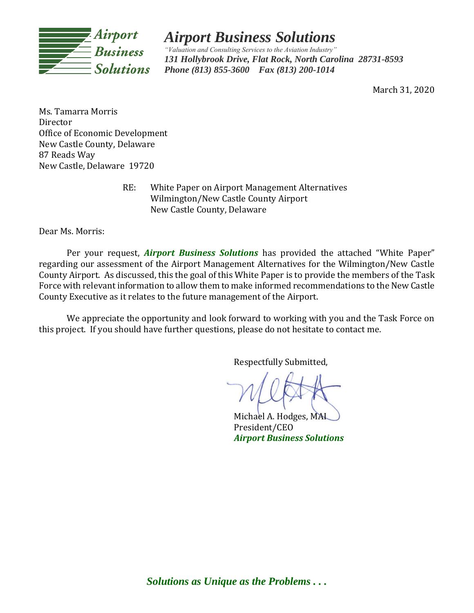

# *Airport Business Solutions*

*"Valuation and Consulting Services to the Aviation Industry" 131 Hollybrook Drive, Flat Rock, North Carolina 28731-8593 Phone (813) 855-3600 Fax (813) 200-1014*

March 31, 2020

Ms. Tamarra Morris Director Office of Economic Development New Castle County, Delaware 87 Reads Way New Castle, Delaware 19720

> RE: White Paper on Airport Management Alternatives Wilmington/New Castle County Airport New Castle County, Delaware

Dear Ms. Morris:

Per your request, *Airport Business Solutions* has provided the attached "White Paper" regarding our assessment of the Airport Management Alternatives for the Wilmington/New Castle County Airport. As discussed, this the goal of this White Paper is to provide the members of the Task Force with relevant information to allow them to make informed recommendations to the New Castle County Executive as it relates to the future management of the Airport.

We appreciate the opportunity and look forward to working with you and the Task Force on this project. If you should have further questions, please do not hesitate to contact me.

Respectfully Submitted,

Michael A. Hodges, MAI President/CEO *Airport Business Solutions*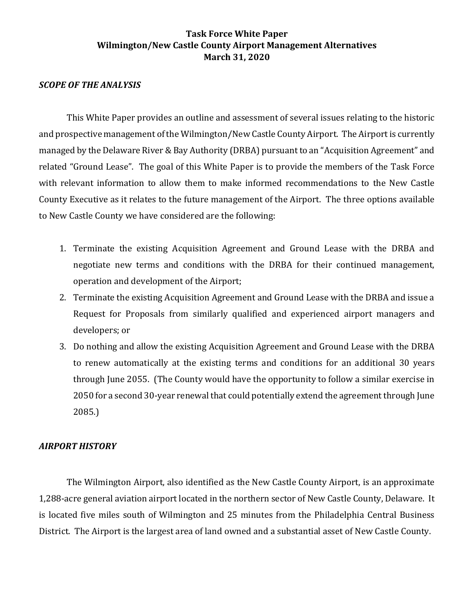## *SCOPE OF THE ANALYSIS*

This White Paper provides an outline and assessment of several issues relating to the historic and prospective management of the Wilmington/New Castle County Airport. The Airport is currently managed by the Delaware River & Bay Authority (DRBA) pursuant to an "Acquisition Agreement" and related "Ground Lease". The goal of this White Paper is to provide the members of the Task Force with relevant information to allow them to make informed recommendations to the New Castle County Executive as it relates to the future management of the Airport. The three options available to New Castle County we have considered are the following:

- 1. Terminate the existing Acquisition Agreement and Ground Lease with the DRBA and negotiate new terms and conditions with the DRBA for their continued management, operation and development of the Airport;
- 2. Terminate the existing Acquisition Agreement and Ground Lease with the DRBA and issue a Request for Proposals from similarly qualified and experienced airport managers and developers; or
- 3. Do nothing and allow the existing Acquisition Agreement and Ground Lease with the DRBA to renew automatically at the existing terms and conditions for an additional 30 years through June 2055. (The County would have the opportunity to follow a similar exercise in 2050 for a second 30-year renewal that could potentially extend the agreement through June 2085.)

## *AIRPORT HISTORY*

The Wilmington Airport, also identified as the New Castle County Airport, is an approximate 1,288-acre general aviation airport located in the northern sector of New Castle County, Delaware. It is located five miles south of Wilmington and 25 minutes from the Philadelphia Central Business District. The Airport is the largest area of land owned and a substantial asset of New Castle County.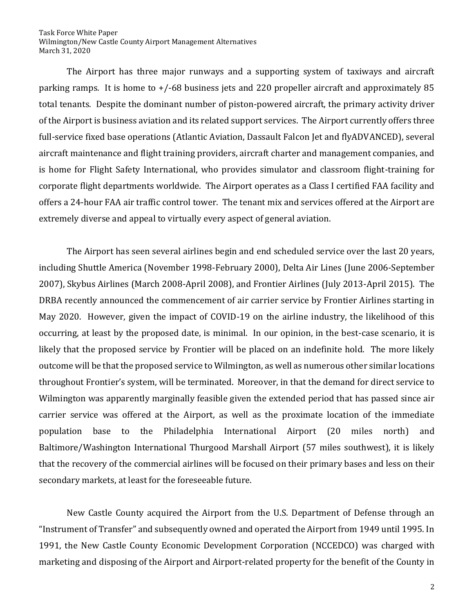The Airport has three major runways and a supporting system of taxiways and aircraft parking ramps. It is home to +/-68 business jets and 220 propeller aircraft and approximately 85 total tenants. Despite the dominant number of piston-powered aircraft, the primary activity driver of the Airport is business aviation and its related support services. The Airport currently offers three full-service fixed base operations (Atlantic Aviation, Dassault Falcon Jet and flyADVANCED), several aircraft maintenance and flight training providers, aircraft charter and management companies, and is home for Flight Safety International, who provides simulator and classroom flight-training for corporate flight departments worldwide. The Airport operates as a Class I certified FAA facility and offers a 24-hour FAA air traffic control tower. The tenant mix and services offered at the Airport are extremely diverse and appeal to virtually every aspect of general aviation.

The Airport has seen several airlines begin and end scheduled service over the last 20 years, including Shuttle America (November 1998-February 2000), Delta Air Lines (June 2006-September 2007), Skybus Airlines (March 2008-April 2008), and Frontier Airlines (July 2013-April 2015). The DRBA recently announced the commencement of air carrier service by Frontier Airlines starting in May 2020. However, given the impact of COVID-19 on the airline industry, the likelihood of this occurring, at least by the proposed date, is minimal. In our opinion, in the best-case scenario, it is likely that the proposed service by Frontier will be placed on an indefinite hold. The more likely outcome will be that the proposed service to Wilmington, as well as numerous other similar locations throughout Frontier's system, will be terminated. Moreover, in that the demand for direct service to Wilmington was apparently marginally feasible given the extended period that has passed since air carrier service was offered at the Airport, as well as the proximate location of the immediate population base to the Philadelphia International Airport (20 miles north) and Baltimore/Washington International Thurgood Marshall Airport (57 miles southwest), it is likely that the recovery of the commercial airlines will be focused on their primary bases and less on their secondary markets, at least for the foreseeable future.

New Castle County acquired the Airport from the U.S. Department of Defense through an "Instrument of Transfer" and subsequently owned and operated the Airport from 1949 until 1995. In 1991, the New Castle County Economic Development Corporation (NCCEDCO) was charged with marketing and disposing of the Airport and Airport-related property for the benefit of the County in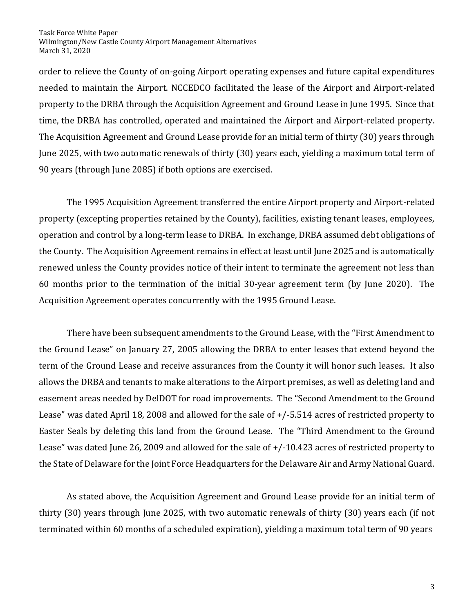order to relieve the County of on-going Airport operating expenses and future capital expenditures needed to maintain the Airport. NCCEDCO facilitated the lease of the Airport and Airport-related property to the DRBA through the Acquisition Agreement and Ground Lease in June 1995. Since that time, the DRBA has controlled, operated and maintained the Airport and Airport-related property. The Acquisition Agreement and Ground Lease provide for an initial term of thirty (30) years through June 2025, with two automatic renewals of thirty (30) years each, yielding a maximum total term of 90 years (through June 2085) if both options are exercised.

The 1995 Acquisition Agreement transferred the entire Airport property and Airport-related property (excepting properties retained by the County), facilities, existing tenant leases, employees, operation and control by a long-term lease to DRBA. In exchange, DRBA assumed debt obligations of the County. The Acquisition Agreement remains in effect at least until June 2025 and is automatically renewed unless the County provides notice of their intent to terminate the agreement not less than 60 months prior to the termination of the initial 30-year agreement term (by June 2020). The Acquisition Agreement operates concurrently with the 1995 Ground Lease.

There have been subsequent amendments to the Ground Lease, with the "First Amendment to the Ground Lease" on January 27, 2005 allowing the DRBA to enter leases that extend beyond the term of the Ground Lease and receive assurances from the County it will honor such leases. It also allows the DRBA and tenants to make alterations to the Airport premises, as well as deleting land and easement areas needed by DelDOT for road improvements. The "Second Amendment to the Ground Lease" was dated April 18, 2008 and allowed for the sale of +/-5.514 acres of restricted property to Easter Seals by deleting this land from the Ground Lease. The "Third Amendment to the Ground Lease" was dated June 26, 2009 and allowed for the sale of +/-10.423 acres of restricted property to the State of Delaware for the Joint Force Headquarters for the Delaware Air and Army National Guard.

As stated above, the Acquisition Agreement and Ground Lease provide for an initial term of thirty (30) years through June 2025, with two automatic renewals of thirty (30) years each (if not terminated within 60 months of a scheduled expiration), yielding a maximum total term of 90 years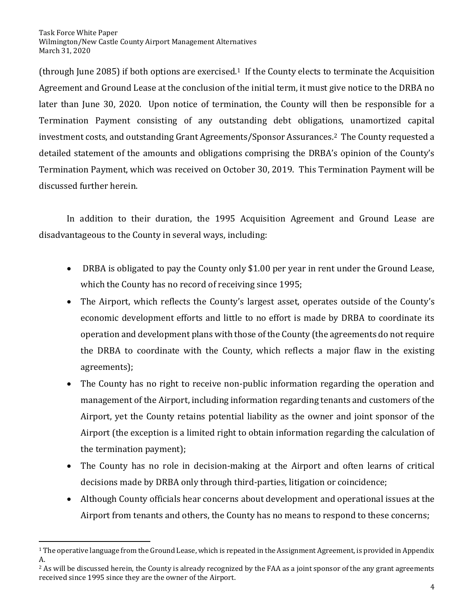(through June 2085) if both options are exercised.1 If the County elects to terminate the Acquisition Agreement and Ground Lease at the conclusion of the initial term, it must give notice to the DRBA no later than June 30, 2020. Upon notice of termination, the County will then be responsible for a Termination Payment consisting of any outstanding debt obligations, unamortized capital investment costs, and outstanding Grant Agreements/Sponsor Assurances.<sup>2</sup> The County requested a detailed statement of the amounts and obligations comprising the DRBA's opinion of the County's Termination Payment, which was received on October 30, 2019. This Termination Payment will be discussed further herein.

In addition to their duration, the 1995 Acquisition Agreement and Ground Lease are disadvantageous to the County in several ways, including:

- DRBA is obligated to pay the County only \$1.00 per year in rent under the Ground Lease, which the County has no record of receiving since 1995;
- The Airport, which reflects the County's largest asset, operates outside of the County's economic development efforts and little to no effort is made by DRBA to coordinate its operation and development plans with those of the County (the agreements do not require the DRBA to coordinate with the County, which reflects a major flaw in the existing agreements);
- The County has no right to receive non-public information regarding the operation and management of the Airport, including information regarding tenants and customers of the Airport, yet the County retains potential liability as the owner and joint sponsor of the Airport (the exception is a limited right to obtain information regarding the calculation of the termination payment);
- The County has no role in decision-making at the Airport and often learns of critical decisions made by DRBA only through third-parties, litigation or coincidence;
- Although County officials hear concerns about development and operational issues at the Airport from tenants and others, the County has no means to respond to these concerns;

 $1$  The operative language from the Ground Lease, which is repeated in the Assignment Agreement, is provided in Appendix A.

<sup>&</sup>lt;sup>2</sup> As will be discussed herein, the County is already recognized by the FAA as a joint sponsor of the any grant agreements received since 1995 since they are the owner of the Airport.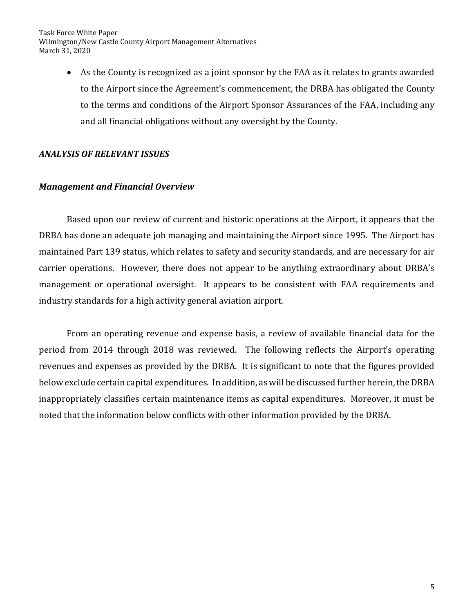> • As the County is recognized as a joint sponsor by the FAA as it relates to grants awarded to the Airport since the Agreement's commencement, the DRBA has obligated the County to the terms and conditions of the Airport Sponsor Assurances of the FAA, including any and all financial obligations without any oversight by the County.

# *ANALYSIS OF RELEVANT ISSUES*

## *Management and Financial Overview*

Based upon our review of current and historic operations at the Airport, it appears that the DRBA has done an adequate job managing and maintaining the Airport since 1995. The Airport has maintained Part 139 status, which relates to safety and security standards, and are necessary for air carrier operations. However, there does not appear to be anything extraordinary about DRBA's management or operational oversight. It appears to be consistent with FAA requirements and industry standards for a high activity general aviation airport.

From an operating revenue and expense basis, a review of available financial data for the period from 2014 through 2018 was reviewed. The following reflects the Airport's operating revenues and expenses as provided by the DRBA. It is significant to note that the figures provided below exclude certain capital expenditures. In addition, as will be discussed further herein, the DRBA inappropriately classifies certain maintenance items as capital expenditures. Moreover, it must be noted that the information below conflicts with other information provided by the DRBA.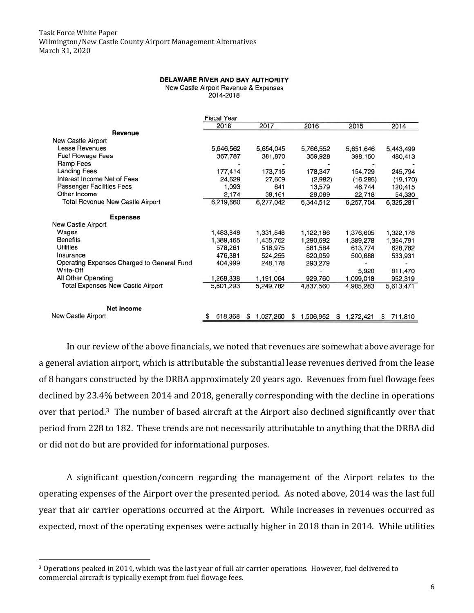#### DELAWARE RIVER AND BAY AUTHORITY

New Castle Airport Revenue & Expenses

2014-2018

|                                            | <b>Fiscal Year</b> |                |                |             |              |
|--------------------------------------------|--------------------|----------------|----------------|-------------|--------------|
|                                            | 2018               | 2017           | 2016           | 2015        | 2014         |
| Revenue                                    |                    |                |                |             |              |
| New Castle Airport                         |                    |                |                |             |              |
| Lease Revenues                             | 5,646,562          | 5,654,045      | 5,766,552      | 5,651,646   | 5,443,499    |
| <b>Fuel Flowage Fees</b>                   | 367,787            | 381,870        | 359,928        | 398,150     | 480,413      |
| Ramp Fees                                  |                    |                |                |             |              |
| Landing Fees                               | 177,414            | 173,715        | 178,347        | 154,729     | 245,794      |
| Interest Income Net of Fees                | 24,629             | 27,609         | (2,982)        | (16, 285)   | (19, 170)    |
| Passenger Facilities Fees                  | 1,093              | 641            | 13,579         | 46,744      | 120,415      |
| Other Income                               | 2,174              | 39,161         | 29,089         | 22,718      | 54,330       |
| Total Revenue New Castle Airport           | 6,219,660          | 6,277,042      | 6,344,512      | 6,257,704   | 6,325,281    |
| <b>Expenses</b>                            |                    |                |                |             |              |
| New Castle Airport                         |                    |                |                |             |              |
| Wages                                      | 1,483,848          | 1,331,548      | 1,122,186      | 1,376,605   | 1,322,178    |
| <b>Benefits</b>                            | 1,389,465          | 1,435,762      | 1,290,692      | 1,389,278   | 1,364,791    |
| <b>Utilities</b>                           | 578,261            | 518,975        | 581,584        | 613,774     | 628,782      |
| Insurance                                  | 476,381            | 524,255        | 620,059        | 500,688     | 533,931      |
| Operating Expenses Charged to General Fund | 404,999            | 248,178        | 293,279        |             |              |
| Write-Off                                  |                    |                |                | 5,920       | 811,470      |
| All Other Operating                        | 1,268,338          | 1,191,064      | 929,760        | 1,099,018   | 952,319      |
| Total Expenses New Castle Airport          | 5,601,293          | 5,249,782      | 4,837,560      | 4,985,283   | 5,613,471    |
| Net Income                                 |                    |                |                |             |              |
| New Castle Airport                         | 618,368            | 1.027.260<br>S | 1,506,952<br>S | \$1,272,421 | 711,810<br>S |

In our review of the above financials, we noted that revenues are somewhat above average for a general aviation airport, which is attributable the substantial lease revenues derived from the lease of 8 hangars constructed by the DRBA approximately 20 years ago. Revenues from fuel flowage fees declined by 23.4% between 2014 and 2018, generally corresponding with the decline in operations over that period.3 The number of based aircraft at the Airport also declined significantly over that period from 228 to 182. These trends are not necessarily attributable to anything that the DRBA did or did not do but are provided for informational purposes.

A significant question/concern regarding the management of the Airport relates to the operating expenses of the Airport over the presented period. As noted above, 2014 was the last full year that air carrier operations occurred at the Airport. While increases in revenues occurred as expected, most of the operating expenses were actually higher in 2018 than in 2014. While utilities

<sup>3</sup> Operations peaked in 2014, which was the last year of full air carrier operations. However, fuel delivered to commercial aircraft is typically exempt from fuel flowage fees.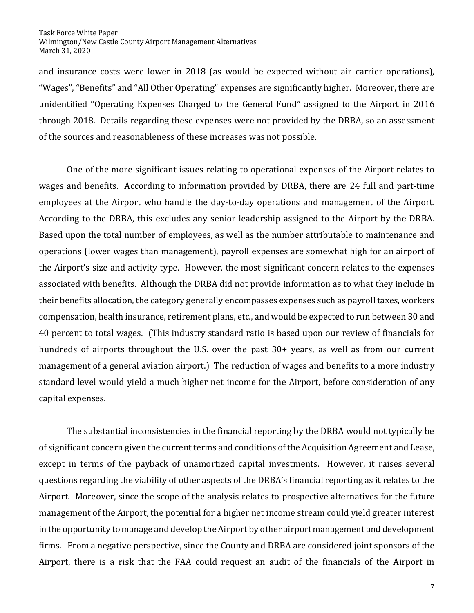and insurance costs were lower in 2018 (as would be expected without air carrier operations), "Wages", "Benefits" and "All Other Operating" expenses are significantly higher. Moreover, there are unidentified "Operating Expenses Charged to the General Fund" assigned to the Airport in 2016 through 2018. Details regarding these expenses were not provided by the DRBA, so an assessment of the sources and reasonableness of these increases was not possible.

One of the more significant issues relating to operational expenses of the Airport relates to wages and benefits. According to information provided by DRBA, there are 24 full and part-time employees at the Airport who handle the day-to-day operations and management of the Airport. According to the DRBA, this excludes any senior leadership assigned to the Airport by the DRBA. Based upon the total number of employees, as well as the number attributable to maintenance and operations (lower wages than management), payroll expenses are somewhat high for an airport of the Airport's size and activity type. However, the most significant concern relates to the expenses associated with benefits. Although the DRBA did not provide information as to what they include in their benefits allocation, the category generally encompasses expenses such as payroll taxes, workers compensation, health insurance, retirement plans, etc., and would be expected to run between 30 and 40 percent to total wages. (This industry standard ratio is based upon our review of financials for hundreds of airports throughout the U.S. over the past 30+ years, as well as from our current management of a general aviation airport.) The reduction of wages and benefits to a more industry standard level would yield a much higher net income for the Airport, before consideration of any capital expenses.

The substantial inconsistencies in the financial reporting by the DRBA would not typically be of significant concern given the current terms and conditions of the Acquisition Agreement and Lease, except in terms of the payback of unamortized capital investments. However, it raises several questions regarding the viability of other aspects of the DRBA's financial reporting as it relates to the Airport. Moreover, since the scope of the analysis relates to prospective alternatives for the future management of the Airport, the potential for a higher net income stream could yield greater interest in the opportunity to manage and develop the Airport by other airport management and development firms. From a negative perspective, since the County and DRBA are considered joint sponsors of the Airport, there is a risk that the FAA could request an audit of the financials of the Airport in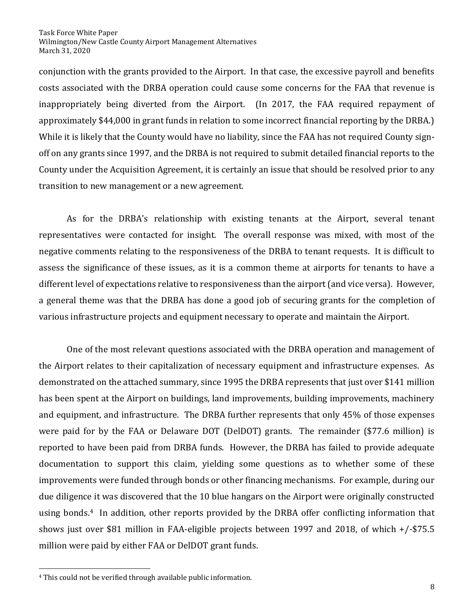conjunction with the grants provided to the Airport. In that case, the excessive payroll and benefits costs associated with the DRBA operation could cause some concerns for the FAA that revenue is inappropriately being diverted from the Airport. (In 2017, the FAA required repayment of approximately \$44,000 in grant funds in relation to some incorrect financial reporting by the DRBA.) While it is likely that the County would have no liability, since the FAA has not required County signoff on any grants since 1997, and the DRBA is not required to submit detailed financial reports to the County under the Acquisition Agreement, it is certainly an issue that should be resolved prior to any transition to new management or a new agreement.

As for the DRBA's relationship with existing tenants at the Airport, several tenant representatives were contacted for insight. The overall response was mixed, with most of the negative comments relating to the responsiveness of the DRBA to tenant requests. It is difficult to assess the significance of these issues, as it is a common theme at airports for tenants to have a different level of expectations relative to responsiveness than the airport (and vice versa). However, a general theme was that the DRBA has done a good job of securing grants for the completion of various infrastructure projects and equipment necessary to operate and maintain the Airport.

One of the most relevant questions associated with the DRBA operation and management of the Airport relates to their capitalization of necessary equipment and infrastructure expenses. As demonstrated on the attached summary, since 1995 the DRBA represents that just over \$141 million has been spent at the Airport on buildings, land improvements, building improvements, machinery and equipment, and infrastructure. The DRBA further represents that only 45% of those expenses were paid for by the FAA or Delaware DOT (DelDOT) grants. The remainder (\$77.6 million) is reported to have been paid from DRBA funds. However, the DRBA has failed to provide adequate documentation to support this claim, yielding some questions as to whether some of these improvements were funded through bonds or other financing mechanisms. For example, during our due diligence it was discovered that the 10 blue hangars on the Airport were originally constructed using bonds.4 In addition, other reports provided by the DRBA offer conflicting information that shows just over \$81 million in FAA-eligible projects between 1997 and 2018, of which +/-\$75.5 million were paid by either FAA or DelDOT grant funds.

<sup>4</sup> This could not be verified through available public information.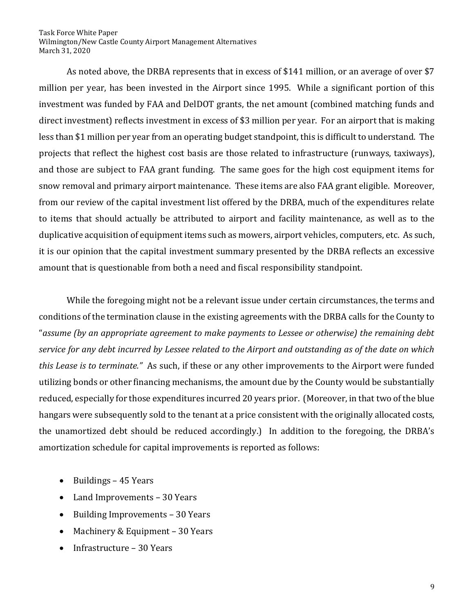As noted above, the DRBA represents that in excess of \$141 million, or an average of over \$7 million per year, has been invested in the Airport since 1995. While a significant portion of this investment was funded by FAA and DelDOT grants, the net amount (combined matching funds and direct investment) reflects investment in excess of \$3 million per year. For an airport that is making less than \$1 million per year from an operating budget standpoint, this is difficult to understand. The projects that reflect the highest cost basis are those related to infrastructure (runways, taxiways), and those are subject to FAA grant funding. The same goes for the high cost equipment items for snow removal and primary airport maintenance. These items are also FAA grant eligible. Moreover, from our review of the capital investment list offered by the DRBA, much of the expenditures relate to items that should actually be attributed to airport and facility maintenance, as well as to the duplicative acquisition of equipment items such as mowers, airport vehicles, computers, etc. As such, it is our opinion that the capital investment summary presented by the DRBA reflects an excessive amount that is questionable from both a need and fiscal responsibility standpoint.

While the foregoing might not be a relevant issue under certain circumstances, the terms and conditions of the termination clause in the existing agreements with the DRBA calls for the County to "*assume (by an appropriate agreement to make payments to Lessee or otherwise) the remaining debt service for any debt incurred by Lessee related to the Airport and outstanding as of the date on which this Lease is to terminate."* As such, if these or any other improvements to the Airport were funded utilizing bonds or other financing mechanisms, the amount due by the County would be substantially reduced, especially for those expenditures incurred 20 years prior. (Moreover, in that two of the blue hangars were subsequently sold to the tenant at a price consistent with the originally allocated costs, the unamortized debt should be reduced accordingly.) In addition to the foregoing, the DRBA's amortization schedule for capital improvements is reported as follows:

- Buildings 45 Years
- Land Improvements 30 Years
- Building Improvements 30 Years
- Machinery & Equipment 30 Years
- Infrastructure 30 Years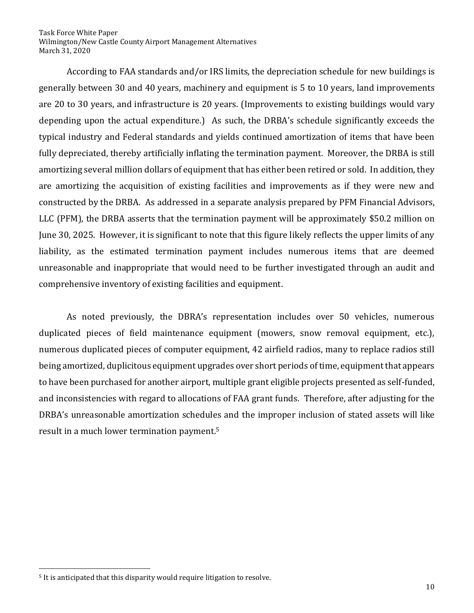According to FAA standards and/or IRS limits, the depreciation schedule for new buildings is generally between 30 and 40 years, machinery and equipment is 5 to 10 years, land improvements are 20 to 30 years, and infrastructure is 20 years. (Improvements to existing buildings would vary depending upon the actual expenditure.) As such, the DRBA's schedule significantly exceeds the typical industry and Federal standards and yields continued amortization of items that have been fully depreciated, thereby artificially inflating the termination payment. Moreover, the DRBA is still amortizing several million dollars of equipment that has either been retired or sold. In addition, they are amortizing the acquisition of existing facilities and improvements as if they were new and constructed by the DRBA. As addressed in a separate analysis prepared by PFM Financial Advisors, LLC (PFM), the DRBA asserts that the termination payment will be approximately \$50.2 million on June 30, 2025. However, it is significant to note that this figure likely reflects the upper limits of any liability, as the estimated termination payment includes numerous items that are deemed unreasonable and inappropriate that would need to be further investigated through an audit and comprehensive inventory of existing facilities and equipment.

As noted previously, the DBRA's representation includes over 50 vehicles, numerous duplicated pieces of field maintenance equipment (mowers, snow removal equipment, etc.), numerous duplicated pieces of computer equipment, 42 airfield radios, many to replace radios still being amortized, duplicitous equipment upgrades over short periods of time, equipment that appears to have been purchased for another airport, multiple grant eligible projects presented as self-funded, and inconsistencies with regard to allocations of FAA grant funds. Therefore, after adjusting for the DRBA's unreasonable amortization schedules and the improper inclusion of stated assets will like result in a much lower termination payment.<sup>5</sup>

<sup>5</sup> It is anticipated that this disparity would require litigation to resolve.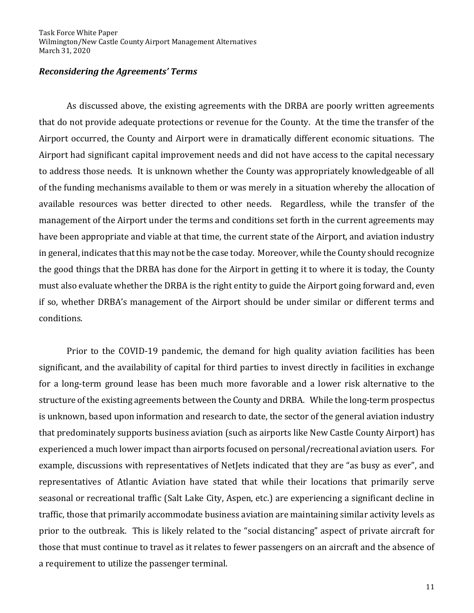## *Reconsidering the Agreements' Terms*

As discussed above, the existing agreements with the DRBA are poorly written agreements that do not provide adequate protections or revenue for the County. At the time the transfer of the Airport occurred, the County and Airport were in dramatically different economic situations. The Airport had significant capital improvement needs and did not have access to the capital necessary to address those needs. It is unknown whether the County was appropriately knowledgeable of all of the funding mechanisms available to them or was merely in a situation whereby the allocation of available resources was better directed to other needs. Regardless, while the transfer of the management of the Airport under the terms and conditions set forth in the current agreements may have been appropriate and viable at that time, the current state of the Airport, and aviation industry in general, indicates that this may not be the case today. Moreover, while the County should recognize the good things that the DRBA has done for the Airport in getting it to where it is today, the County must also evaluate whether the DRBA is the right entity to guide the Airport going forward and, even if so, whether DRBA's management of the Airport should be under similar or different terms and conditions.

Prior to the COVID-19 pandemic, the demand for high quality aviation facilities has been significant, and the availability of capital for third parties to invest directly in facilities in exchange for a long-term ground lease has been much more favorable and a lower risk alternative to the structure of the existing agreements between the County and DRBA. While the long-term prospectus is unknown, based upon information and research to date, the sector of the general aviation industry that predominately supports business aviation (such as airports like New Castle County Airport) has experienced a much lower impact than airports focused on personal/recreational aviation users. For example, discussions with representatives of NetJets indicated that they are "as busy as ever", and representatives of Atlantic Aviation have stated that while their locations that primarily serve seasonal or recreational traffic (Salt Lake City, Aspen, etc.) are experiencing a significant decline in traffic, those that primarily accommodate business aviation are maintaining similar activity levels as prior to the outbreak. This is likely related to the "social distancing" aspect of private aircraft for those that must continue to travel as it relates to fewer passengers on an aircraft and the absence of a requirement to utilize the passenger terminal.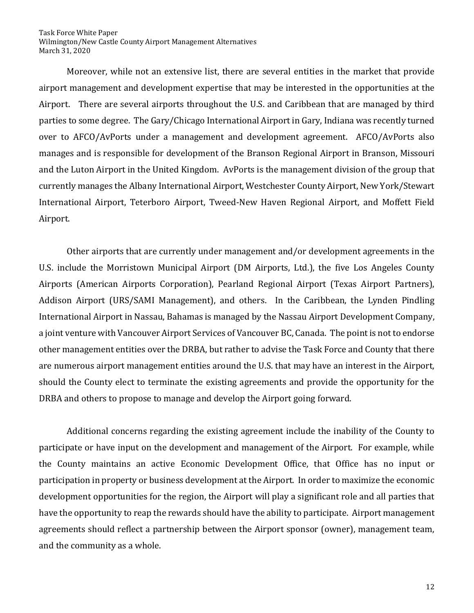Moreover, while not an extensive list, there are several entities in the market that provide airport management and development expertise that may be interested in the opportunities at the Airport. There are several airports throughout the U.S. and Caribbean that are managed by third parties to some degree. The Gary/Chicago International Airport in Gary, Indiana was recently turned over to AFCO/AvPorts under a management and development agreement. AFCO/AvPorts also manages and is responsible for development of the Branson Regional Airport in Branson, Missouri and the Luton Airport in the United Kingdom. AvPorts is the management division of the group that currently manages the Albany International Airport, Westchester County Airport, New York/Stewart International Airport, Teterboro Airport, Tweed-New Haven Regional Airport, and Moffett Field Airport.

Other airports that are currently under management and/or development agreements in the U.S. include the Morristown Municipal Airport (DM Airports, Ltd.), the five Los Angeles County Airports (American Airports Corporation), Pearland Regional Airport (Texas Airport Partners), Addison Airport (URS/SAMI Management), and others. In the Caribbean, the Lynden Pindling International Airport in Nassau, Bahamas is managed by the Nassau Airport Development Company, a joint venture with Vancouver Airport Services of Vancouver BC, Canada. The point is not to endorse other management entities over the DRBA, but rather to advise the Task Force and County that there are numerous airport management entities around the U.S. that may have an interest in the Airport, should the County elect to terminate the existing agreements and provide the opportunity for the DRBA and others to propose to manage and develop the Airport going forward.

Additional concerns regarding the existing agreement include the inability of the County to participate or have input on the development and management of the Airport. For example, while the County maintains an active Economic Development Office, that Office has no input or participation in property or business development at the Airport. In order to maximize the economic development opportunities for the region, the Airport will play a significant role and all parties that have the opportunity to reap the rewards should have the ability to participate. Airport management agreements should reflect a partnership between the Airport sponsor (owner), management team, and the community as a whole.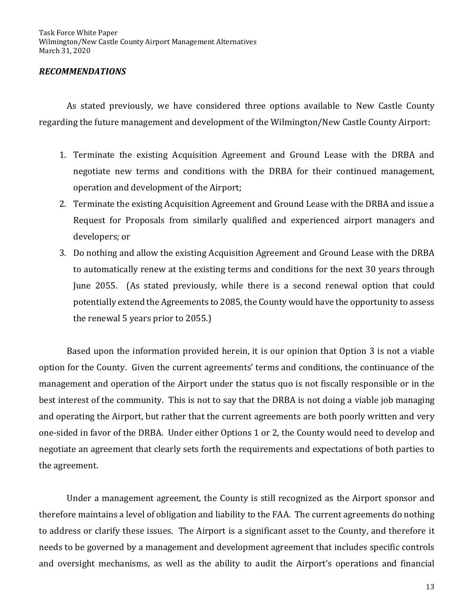## *RECOMMENDATIONS*

As stated previously, we have considered three options available to New Castle County regarding the future management and development of the Wilmington/New Castle County Airport:

- 1. Terminate the existing Acquisition Agreement and Ground Lease with the DRBA and negotiate new terms and conditions with the DRBA for their continued management, operation and development of the Airport;
- 2. Terminate the existing Acquisition Agreement and Ground Lease with the DRBA and issue a Request for Proposals from similarly qualified and experienced airport managers and developers; or
- 3. Do nothing and allow the existing Acquisition Agreement and Ground Lease with the DRBA to automatically renew at the existing terms and conditions for the next 30 years through June 2055. (As stated previously, while there is a second renewal option that could potentially extend the Agreements to 2085, the County would have the opportunity to assess the renewal 5 years prior to 2055.)

Based upon the information provided herein, it is our opinion that Option 3 is not a viable option for the County. Given the current agreements' terms and conditions, the continuance of the management and operation of the Airport under the status quo is not fiscally responsible or in the best interest of the community. This is not to say that the DRBA is not doing a viable job managing and operating the Airport, but rather that the current agreements are both poorly written and very one-sided in favor of the DRBA. Under either Options 1 or 2, the County would need to develop and negotiate an agreement that clearly sets forth the requirements and expectations of both parties to the agreement.

Under a management agreement, the County is still recognized as the Airport sponsor and therefore maintains a level of obligation and liability to the FAA. The current agreements do nothing to address or clarify these issues. The Airport is a significant asset to the County, and therefore it needs to be governed by a management and development agreement that includes specific controls and oversight mechanisms, as well as the ability to audit the Airport's operations and financial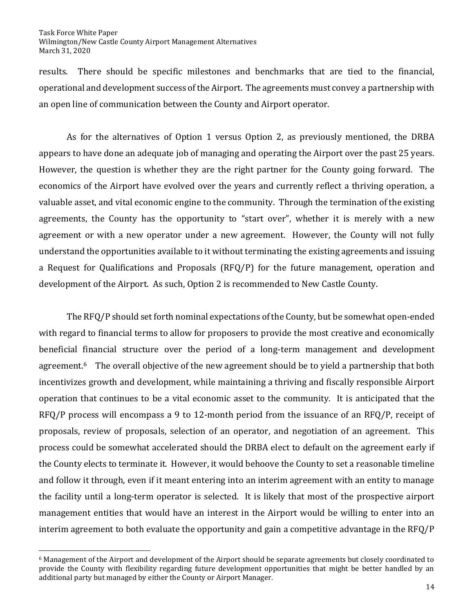results. There should be specific milestones and benchmarks that are tied to the financial, operational and development success of the Airport. The agreements must convey a partnership with an open line of communication between the County and Airport operator.

As for the alternatives of Option 1 versus Option 2, as previously mentioned, the DRBA appears to have done an adequate job of managing and operating the Airport over the past 25 years. However, the question is whether they are the right partner for the County going forward. The economics of the Airport have evolved over the years and currently reflect a thriving operation, a valuable asset, and vital economic engine to the community. Through the termination of the existing agreements, the County has the opportunity to "start over", whether it is merely with a new agreement or with a new operator under a new agreement. However, the County will not fully understand the opportunities available to it without terminating the existing agreements and issuing a Request for Qualifications and Proposals (RFQ/P) for the future management, operation and development of the Airport. As such, Option 2 is recommended to New Castle County.

The RFQ/P should set forth nominal expectations of the County, but be somewhat open-ended with regard to financial terms to allow for proposers to provide the most creative and economically beneficial financial structure over the period of a long-term management and development agreement.<sup>6</sup> The overall objective of the new agreement should be to yield a partnership that both incentivizes growth and development, while maintaining a thriving and fiscally responsible Airport operation that continues to be a vital economic asset to the community. It is anticipated that the RFQ/P process will encompass a 9 to 12-month period from the issuance of an RFQ/P, receipt of proposals, review of proposals, selection of an operator, and negotiation of an agreement. This process could be somewhat accelerated should the DRBA elect to default on the agreement early if the County elects to terminate it. However, it would behoove the County to set a reasonable timeline and follow it through, even if it meant entering into an interim agreement with an entity to manage the facility until a long-term operator is selected. It is likely that most of the prospective airport management entities that would have an interest in the Airport would be willing to enter into an interim agreement to both evaluate the opportunity and gain a competitive advantage in the RFQ/P

<sup>6</sup> Management of the Airport and development of the Airport should be separate agreements but closely coordinated to provide the County with flexibility regarding future development opportunities that might be better handled by an additional party but managed by either the County or Airport Manager.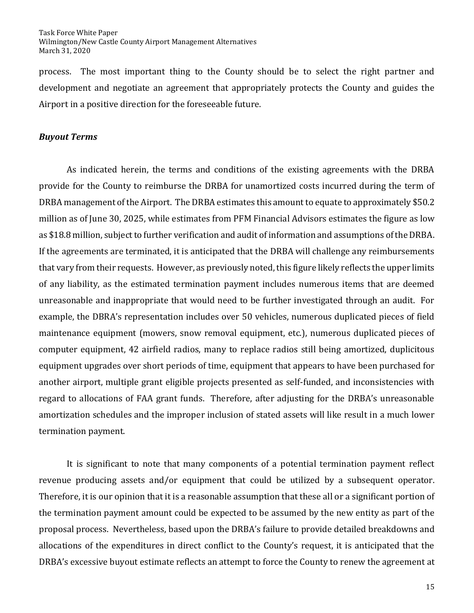process. The most important thing to the County should be to select the right partner and development and negotiate an agreement that appropriately protects the County and guides the Airport in a positive direction for the foreseeable future.

## *Buyout Terms*

As indicated herein, the terms and conditions of the existing agreements with the DRBA provide for the County to reimburse the DRBA for unamortized costs incurred during the term of DRBA management of the Airport. The DRBA estimates this amount to equate to approximately \$50.2 million as of June 30, 2025, while estimates from PFM Financial Advisors estimates the figure as low as \$18.8 million, subject to further verification and audit of information and assumptions of the DRBA. If the agreements are terminated, it is anticipated that the DRBA will challenge any reimbursements that vary from their requests. However, as previously noted, this figure likely reflects the upper limits of any liability, as the estimated termination payment includes numerous items that are deemed unreasonable and inappropriate that would need to be further investigated through an audit. For example, the DBRA's representation includes over 50 vehicles, numerous duplicated pieces of field maintenance equipment (mowers, snow removal equipment, etc.), numerous duplicated pieces of computer equipment, 42 airfield radios, many to replace radios still being amortized, duplicitous equipment upgrades over short periods of time, equipment that appears to have been purchased for another airport, multiple grant eligible projects presented as self-funded, and inconsistencies with regard to allocations of FAA grant funds. Therefore, after adjusting for the DRBA's unreasonable amortization schedules and the improper inclusion of stated assets will like result in a much lower termination payment.

It is significant to note that many components of a potential termination payment reflect revenue producing assets and/or equipment that could be utilized by a subsequent operator. Therefore, it is our opinion that it is a reasonable assumption that these all or a significant portion of the termination payment amount could be expected to be assumed by the new entity as part of the proposal process. Nevertheless, based upon the DRBA's failure to provide detailed breakdowns and allocations of the expenditures in direct conflict to the County's request, it is anticipated that the DRBA's excessive buyout estimate reflects an attempt to force the County to renew the agreement at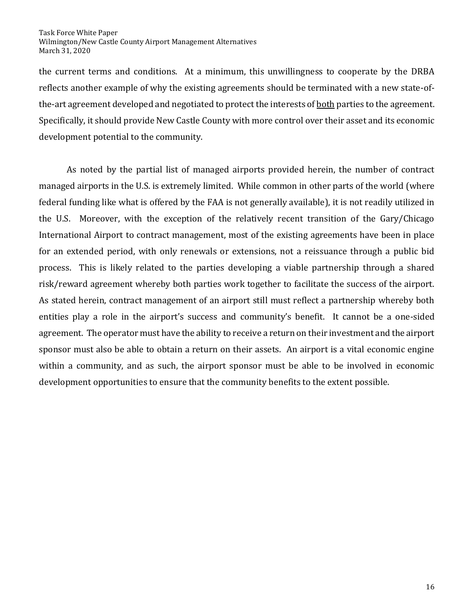the current terms and conditions. At a minimum, this unwillingness to cooperate by the DRBA reflects another example of why the existing agreements should be terminated with a new state-ofthe-art agreement developed and negotiated to protect the interests of both parties to the agreement. Specifically, it should provide New Castle County with more control over their asset and its economic development potential to the community.

As noted by the partial list of managed airports provided herein, the number of contract managed airports in the U.S. is extremely limited. While common in other parts of the world (where federal funding like what is offered by the FAA is not generally available), it is not readily utilized in the U.S. Moreover, with the exception of the relatively recent transition of the Gary/Chicago International Airport to contract management, most of the existing agreements have been in place for an extended period, with only renewals or extensions, not a reissuance through a public bid process. This is likely related to the parties developing a viable partnership through a shared risk/reward agreement whereby both parties work together to facilitate the success of the airport. As stated herein, contract management of an airport still must reflect a partnership whereby both entities play a role in the airport's success and community's benefit. It cannot be a one-sided agreement. The operator must have the ability to receive a return on their investment and the airport sponsor must also be able to obtain a return on their assets. An airport is a vital economic engine within a community, and as such, the airport sponsor must be able to be involved in economic development opportunities to ensure that the community benefits to the extent possible.